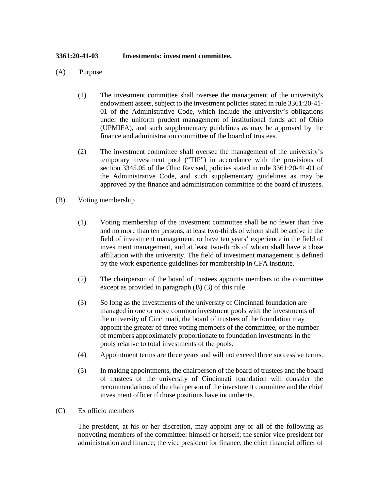## **3361:20-41-03 Investments: investment committee.**

- (A) Purpose
	- (1) The investment committee shall oversee the management of the university's endowment assets, subject to the investment policies stated in rule 3361:20-41- 01 of the Administrative Code, which include the university's obligations under the uniform prudent management of institutional funds act of Ohio (UPMIFA), and such supplementary guidelines as may be approved by the finance and administration committee of the board of trustees.
	- (2) The investment committee shall oversee the management of the university's temporary investment pool ("TIP") in accordance with the provisions of section 3345.05 of the Ohio Revised, policies stated in rule 3361:20-41-01 of the Administrative Code, and such supplementary guidelines as may be approved by the finance and administration committee of the board of trustees.
- (B) Voting membership
	- (1) Voting membership of the investment committee shall be no fewer than five and no more than ten persons, at least two-thirds of whom shall be active in the field of investment management, or have ten years' experience in the field of investment management, and at least two-thirds of whom shall have a close affiliation with the university. The field of investment management is defined by the work experience guidelines for membership in CFA institute.
	- (2) The chairperson of the board of trustees appoints members to the committee except as provided in paragraph (B) (3) of this rule.
	- (3) So long as the investments of the university of Cincinnati foundation are managed in one or more common investment pools with the investments of the university of Cincinnati, the board of trustees of the foundation may appoint the greater of three voting members of the committee, or the number of members approximately proportionate to foundation investments in the pools relative to total investments of the pools.
	- (4) Appointment terms are three years and will not exceed three successive terms.
	- (5) In making appointments, the chairperson of the board of trustees and the board of trustees of the university of Cincinnati foundation will consider the recommendations of the chairperson of the investment committee and the chief investment officer if those positions have incumbents.
- (C) Ex officio members

The president, at his or her discretion, may appoint any or all of the following as nonvoting members of the committee: himself or herself; the senior vice president for administration and finance; the vice president for finance; the chief financial officer of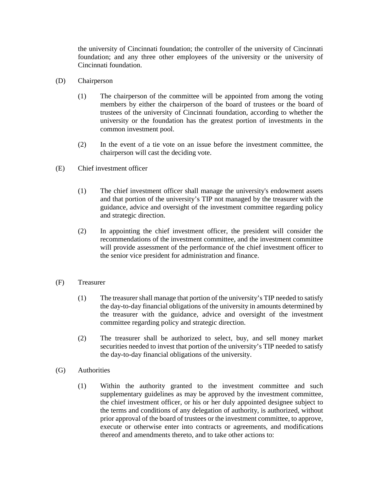the university of Cincinnati foundation; the controller of the university of Cincinnati foundation; and any three other employees of the university or the university of Cincinnati foundation.

- (D) Chairperson
	- (1) The chairperson of the committee will be appointed from among the voting members by either the chairperson of the board of trustees or the board of trustees of the university of Cincinnati foundation, according to whether the university or the foundation has the greatest portion of investments in the common investment pool.
	- (2) In the event of a tie vote on an issue before the investment committee, the chairperson will cast the deciding vote.
- (E) Chief investment officer
	- (1) The chief investment officer shall manage the university's endowment assets and that portion of the university's TIP not managed by the treasurer with the guidance, advice and oversight of the investment committee regarding policy and strategic direction.
	- (2) In appointing the chief investment officer, the president will consider the recommendations of the investment committee, and the investment committee will provide assessment of the performance of the chief investment officer to the senior vice president for administration and finance.
- (F) Treasurer
	- (1) The treasurer shall manage that portion of the university's TIP needed to satisfy the day-to-day financial obligations of the university in amounts determined by the treasurer with the guidance, advice and oversight of the investment committee regarding policy and strategic direction.
	- (2) The treasurer shall be authorized to select, buy, and sell money market securities needed to invest that portion of the university's TIP needed to satisfy the day-to-day financial obligations of the university.
- (G) Authorities
	- (1) Within the authority granted to the investment committee and such supplementary guidelines as may be approved by the investment committee, the chief investment officer, or his or her duly appointed designee subject to the terms and conditions of any delegation of authority, is authorized, without prior approval of the board of trustees or the investment committee, to approve, execute or otherwise enter into contracts or agreements, and modifications thereof and amendments thereto, and to take other actions to: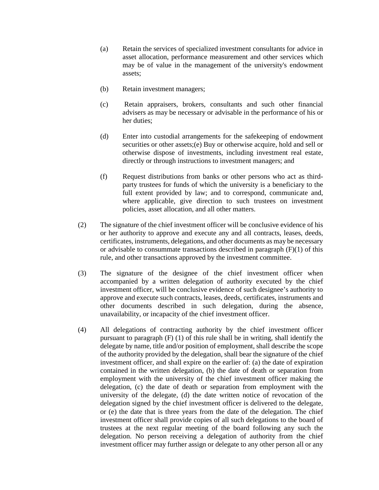- (a) Retain the services of specialized investment consultants for advice in asset allocation, performance measurement and other services which may be of value in the management of the university's endowment assets;
- (b) Retain investment managers;
- (c) Retain appraisers, brokers, consultants and such other financial advisers as may be necessary or advisable in the performance of his or her duties;
- (d) Enter into custodial arrangements for the safekeeping of endowment securities or other assets;(e) Buy or otherwise acquire, hold and sell or otherwise dispose of investments, including investment real estate, directly or through instructions to investment managers; and
- (f) Request distributions from banks or other persons who act as thirdparty trustees for funds of which the university is a beneficiary to the full extent provided by law; and to correspond, communicate and, where applicable, give direction to such trustees on investment policies, asset allocation, and all other matters.
- (2) The signature of the chief investment officer will be conclusive evidence of his or her authority to approve and execute any and all contracts, leases, deeds, certificates, instruments, delegations, and other documents as may be necessary or advisable to consummate transactions described in paragraph (F)(1) of this rule, and other transactions approved by the investment committee.
- (3) The signature of the designee of the chief investment officer when accompanied by a written delegation of authority executed by the chief investment officer, will be conclusive evidence of such designee's authority to approve and execute such contracts, leases, deeds, certificates, instruments and other documents described in such delegation, during the absence, unavailability, or incapacity of the chief investment officer.
- (4) All delegations of contracting authority by the chief investment officer pursuant to paragraph (F) (1) of this rule shall be in writing, shall identify the delegate by name, title and/or position of employment, shall describe the scope of the authority provided by the delegation, shall bear the signature of the chief investment officer, and shall expire on the earlier of: (a) the date of expiration contained in the written delegation, (b) the date of death or separation from employment with the university of the chief investment officer making the delegation, (c) the date of death or separation from employment with the university of the delegate, (d) the date written notice of revocation of the delegation signed by the chief investment officer is delivered to the delegate, or (e) the date that is three years from the date of the delegation. The chief investment officer shall provide copies of all such delegations to the board of trustees at the next regular meeting of the board following any such the delegation. No person receiving a delegation of authority from the chief investment officer may further assign or delegate to any other person all or any